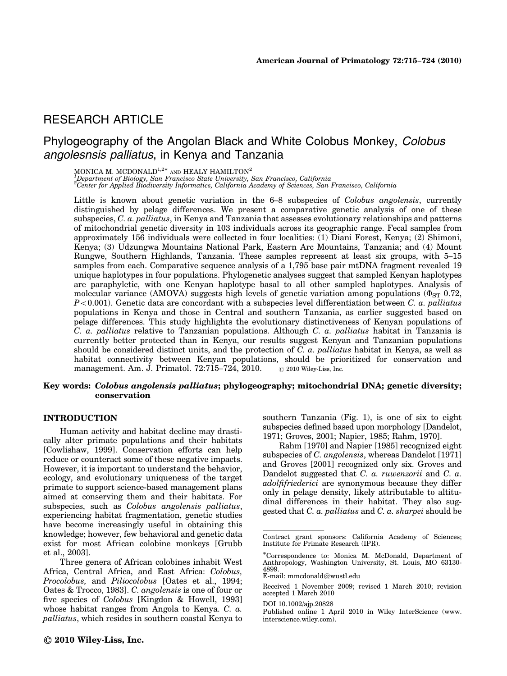# RESEARCH ARTICLE

# Phylogeography of the Angolan Black and White Colobus Monkey, Colobus angolesnsis palliatus, in Kenya and Tanzania

MONICA M. MCDONALD $^{1,2\ast}$  and HEALY HAMILTON $^2$ 

1 Department of Biology, San Francisco State University, San Francisco, California 2 Center for Applied Biodiversity Informatics, California Academy of Sciences, San Francisco, California

Little is known about genetic variation in the 6–8 subspecies of Colobus angolensis, currently distinguished by pelage differences. We present a comparative genetic analysis of one of these subspecies, C. a. palliatus, in Kenya and Tanzania that assesses evolutionary relationships and patterns of mitochondrial genetic diversity in 103 individuals across its geographic range. Fecal samples from approximately 156 individuals were collected in four localities: (1) Diani Forest, Kenya; (2) Shimoni, Kenya; (3) Udzungwa Mountains National Park, Eastern Arc Mountains, Tanzania; and (4) Mount Rungwe, Southern Highlands, Tanzania. These samples represent at least six groups, with 5–15 samples from each. Comparative sequence analysis of a 1,795 base pair mtDNA fragment revealed 19 unique haplotypes in four populations. Phylogenetic analyses suggest that sampled Kenyan haplotypes are paraphyletic, with one Kenyan haplotype basal to all other sampled haplotypes. Analysis of molecular variance (AMOVA) suggests high levels of genetic variation among populations ( $\Phi_{ST}$  0.72,  $P<0.001$ ). Genetic data are concordant with a subspecies level differentiation between C. a. palliatus populations in Kenya and those in Central and southern Tanzania, as earlier suggested based on pelage differences. This study highlights the evolutionary distinctiveness of Kenyan populations of C. a. palliatus relative to Tanzanian populations. Although C. a. palliatus habitat in Tanzania is currently better protected than in Kenya, our results suggest Kenyan and Tanzanian populations should be considered distinct units, and the protection of  $C$ .  $a$ . palliatus habitat in Kenya, as well as habitat connectivity between Kenyan populations, should be prioritized for conservation and management. Am. J. Primatol.  $72:715-724$ ,  $2010$ .  $\circ$  2010 Wiley-Liss, Inc.

### Key words: Colobus angolensis palliatus; phylogeography; mitochondrial DNA; genetic diversity; conservation

## INTRODUCTION

Human activity and habitat decline may drastically alter primate populations and their habitats [Cowlishaw, 1999]. Conservation efforts can help reduce or counteract some of these negative impacts. However, it is important to understand the behavior, ecology, and evolutionary uniqueness of the target primate to support science-based management plans aimed at conserving them and their habitats. For subspecies, such as Colobus angolensis palliatus, experiencing habitat fragmentation, genetic studies have become increasingly useful in obtaining this knowledge; however, few behavioral and genetic data exist for most African colobine monkeys [Grubb et al., 2003].

Three genera of African colobines inhabit West Africa, Central Africa, and East Africa: Colobus, Procolobus, and Piliocolobus [Oates et al., 1994; Oates & Trocco, 1983]. C. angolensis is one of four or five species of *Colobus* [Kingdon & Howell, 1993] whose habitat ranges from Angola to Kenya. C. a. palliatus, which resides in southern coastal Kenya to

southern Tanzania (Fig. 1), is one of six to eight subspecies defined based upon morphology [Dandelot, 1971; Groves, 2001; Napier, 1985; Rahm, 1970].

Rahm [1970] and Napier [1985] recognized eight subspecies of C. angolensis, whereas Dandelot [1971] and Groves [2001] recognized only six. Groves and Dandelot suggested that C. a. ruwenzorii and C. a. adolfifriederici are synonymous because they differ only in pelage density, likely attributable to altitudinal differences in their habitat. They also suggested that C. a. palliatus and C. a. sharpei should be

Contract grant sponsors: California Academy of Sciences; Institute for Primate Research (IPR).

<sup>-</sup>Correspondence to: Monica M. McDonald, Department of Anthropology, Washington University, St. Louis, MO 63130- 4899.

E-mail: mmcdonald@wustl.edu

Received 1 November 2009; revised 1 March 2010; revision accepted 1 March 2010

DOI 10.1002/ajp.20828

Published online 1 April 2010 in Wiley InterScience (www. interscience.wiley.com).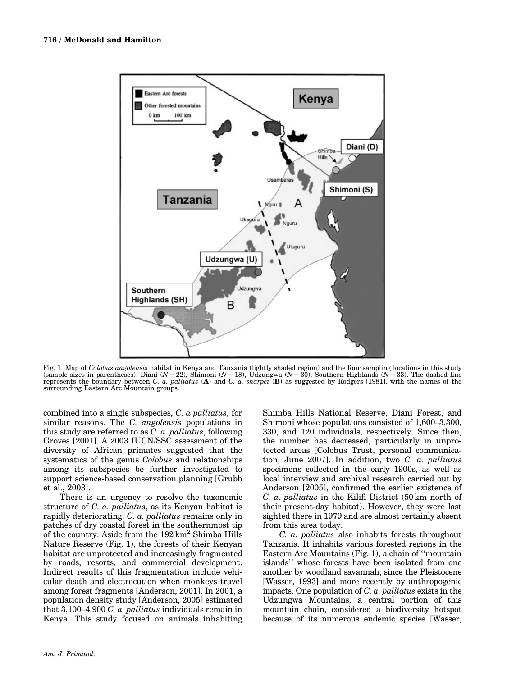

Fig. 1. Map of Colobus angolensis habitat in Kenya and Tanzania (lightly shaded region) and the four sampling locations in this study (sample sizes in parentheses): Diani ( $N = 22$ ), Shimoni ( $N = 18$ ), Udzungwa ( $N = 30$ ), Southern Highlands ( $N = 33$ ). The dashed line represents the boundary between C. a. palliatus (A) and C. a. sharpei (B) as suggested b surrounding Eastern Arc Mountain groups.

combined into a single subspecies, C. a palliatus, for similar reasons. The C. angolensis populations in this study are referred to as C. a. palliatus, following Groves [2001]. A 2003 IUCN/SSC assessment of the diversity of African primates suggested that the systematics of the genus *Colobus* and relationships among its subspecies be further investigated to support science-based conservation planning [Grubb et al., 2003].

There is an urgency to resolve the taxonomic structure of C. a. *palliatus*, as its Kenyan habitat is rapidly deteriorating. C. a. palliatus remains only in patches of dry coastal forest in the southernmost tip of the country. Aside from the  $192 \text{ km}^2$  Shimba Hills Nature Reserve (Fig. 1), the forests of their Kenyan habitat are unprotected and increasingly fragmented by roads, resorts, and commercial development. Indirect results of this fragmentation include vehicular death and electrocution when monkeys travel among forest fragments [Anderson, 2001]. In 2001, a population density study [Anderson, 2005] estimated that 3,100–4,900 C. a. palliatus individuals remain in Kenya. This study focused on animals inhabiting

Shimba Hills National Reserve, Diani Forest, and Shimoni whose populations consisted of 1,600–3,300, 330, and 120 individuals, respectively. Since then, the number has decreased, particularly in unprotected areas [Colobus Trust, personal communication, June 2007]. In addition, two C. a. palliatus specimens collected in the early 1900s, as well as local interview and archival research carried out by Anderson [2005], confirmed the earlier existence of C. a. palliatus in the Kilifi District (50 km north of their present-day habitat). However, they were last sighted there in 1979 and are almost certainly absent from this area today.

C. a. palliatus also inhabits forests throughout Tanzania. It inhabits various forested regions in the Eastern Arc Mountains (Fig. 1), a chain of ''mountain islands'' whose forests have been isolated from one another by woodland savannah, since the Pleistocene [Wasser, 1993] and more recently by anthropogenic impacts. One population of C. a. palliatus exists in the Udzungwa Mountains, a central portion of this mountain chain, considered a biodiversity hotspot because of its numerous endemic species [Wasser,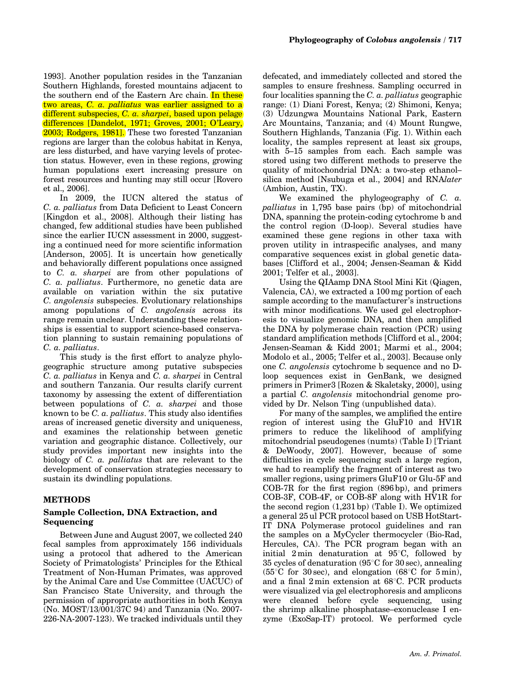1993]. Another population resides in the Tanzanian Southern Highlands, forested mountains adjacent to the southern end of the Eastern Arc chain. In these two areas, C. a. palliatus was earlier assigned to a different subspecies, C. a. sharpei, based upon pelage differences [Dandelot, 1971; Groves, 2001; O'Leary, 2003; Rodgers, 1981]. These two forested Tanzanian regions are larger than the colobus habitat in Kenya, are less disturbed, and have varying levels of protection status. However, even in these regions, growing human populations exert increasing pressure on forest resources and hunting may still occur [Rovero et al., 2006].

In 2009, the IUCN altered the status of C. a. palliatus from Data Deficient to Least Concern [Kingdon et al., 2008]. Although their listing has changed, few additional studies have been published since the earlier IUCN assessment in 2000, suggesting a continued need for more scientific information [Anderson, 2005]. It is uncertain how genetically and behaviorally different populations once assigned to C. a. sharpei are from other populations of C. a. palliatus. Furthermore, no genetic data are available on variation within the six putative C. angolensis subspecies. Evolutionary relationships among populations of C. angolensis across its range remain unclear. Understanding these relationships is essential to support science-based conservation planning to sustain remaining populations of C. a. palliatus.

This study is the first effort to analyze phylogeographic structure among putative subspecies C. a. palliatus in Kenya and C. a. sharpei in Central and southern Tanzania. Our results clarify current taxonomy by assessing the extent of differentiation between populations of C. a. sharpei and those known to be C. a. palliatus. This study also identifies areas of increased genetic diversity and uniqueness, and examines the relationship between genetic variation and geographic distance. Collectively, our study provides important new insights into the biology of C. a. palliatus that are relevant to the development of conservation strategies necessary to sustain its dwindling populations.

## METHODS

## Sample Collection, DNA Extraction, and Sequencing

Between June and August 2007, we collected 240 fecal samples from approximately 156 individuals using a protocol that adhered to the American Society of Primatologists' Principles for the Ethical Treatment of Non-Human Primates, was approved by the Animal Care and Use Committee (UACUC) of San Francisco State University, and through the permission of appropriate authorities in both Kenya (No. MOST/13/001/37C 94) and Tanzania (No. 2007- 226-NA-2007-123). We tracked individuals until they defecated, and immediately collected and stored the samples to ensure freshness. Sampling occurred in four localities spanning the C. a. palliatus geographic range: (1) Diani Forest, Kenya; (2) Shimoni, Kenya; (3) Udzungwa Mountains National Park, Eastern Arc Mountains, Tanzania; and (4) Mount Rungwe, Southern Highlands, Tanzania (Fig. 1). Within each locality, the samples represent at least six groups, with 5–15 samples from each. Each sample was stored using two different methods to preserve the quality of mitochondrial DNA: a two-step ethanol– silica method [Nsubuga et al., 2004] and RNAlater (Ambion, Austin, TX).

We examined the phylogeography of  $C.$   $a.$ palliatus in 1,795 base pairs (bp) of mitochondrial DNA, spanning the protein-coding cytochrome b and the control region (D-loop). Several studies have examined these gene regions in other taxa with proven utility in intraspecific analyses, and many comparative sequences exist in global genetic databases [Clifford et al., 2004; Jensen-Seaman & Kidd 2001; Telfer et al., 2003].

Using the QIAamp DNA Stool Mini Kit (Qiagen, Valencia, CA), we extracted a 100 mg portion of each sample according to the manufacturer's instructions with minor modifications. We used gel electrophoresis to visualize genomic DNA, and then amplified the DNA by polymerase chain reaction (PCR) using standard amplification methods [Clifford et al., 2004; Jensen-Seaman & Kidd 2001; Marmi et al., 2004; Modolo et al., 2005; Telfer et al., 2003]. Because only one C. angolensis cytochrome b sequence and no Dloop sequences exist in GenBank, we designed primers in Primer3 [Rozen & Skaletsky, 2000], using a partial C. angolensis mitochondrial genome provided by Dr. Nelson Ting (unpublished data).

For many of the samples, we amplified the entire region of interest using the GluF10 and HV1R primers to reduce the likelihood of amplifying mitochondrial pseudogenes (numts) (Table I) [Triant & DeWoody, 2007]. However, because of some difficulties in cycle sequencing such a large region, we had to reamplify the fragment of interest as two smaller regions, using primers GluF10 or Glu-5F and COB-7R for the first region (896 bp), and primers COB-3F, COB-4F, or COB-8F along with HV1R for the second region (1,231 bp) (Table I). We optimized a general 25 ul PCR protocol based on USB HotStart-IT DNA Polymerase protocol guidelines and ran the samples on a MyCycler thermocycler (Bio-Rad, Hercules, CA). The PCR program began with an initial  $2 \text{ min}$  denaturation at  $95^{\circ}$ C, followed by 35 cycles of denaturation  $(95^{\circ}C)$  for 30 sec), annealing  $(55^{\circ}$ C for 30 sec), and elongation  $(68^{\circ}$ C for 5 min), and a final  $2 \text{ min}$  extension at  $68^{\circ}$ C. PCR products were visualized via gel electrophoresis and amplicons were cleaned before cycle sequencing, using the shrimp alkaline phosphatase–exonuclease I enzyme (ExoSap-IT) protocol. We performed cycle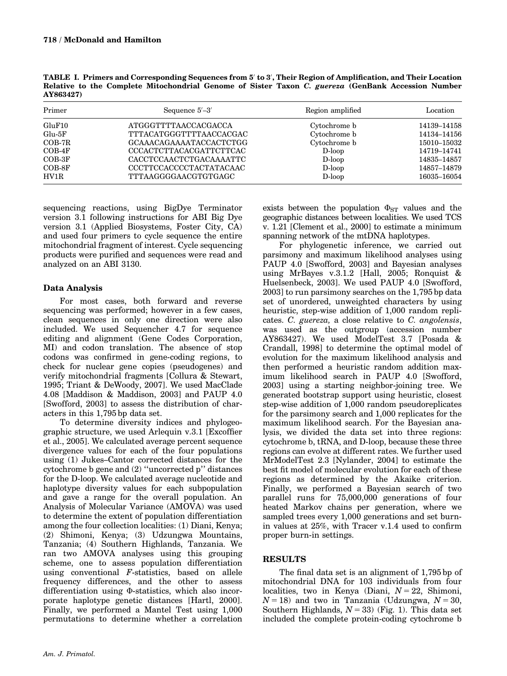TABLE I. Primers and Corresponding Sequences from 5' to 3', Their Region of Amplification, and Their Location Relative to the Complete Mitochondrial Genome of Sister Taxon C. guereza (GenBank Accession Number AY863427)

| Primer   | Sequence $5'-3'$               | Region amplified | Location    |  |
|----------|--------------------------------|------------------|-------------|--|
| GluF10   | <b>ATGGGTTTTAACCACGACCA</b>    | Cytochrome b     | 14139-14158 |  |
| $Glu-5F$ | TTTACATGGGTTTTAACCACGAC        | Cytochrome b     | 14134-14156 |  |
| $COB-7R$ | <b>GCAAACAGAAAATACCACTCTGG</b> | Cytochrome b     | 15010-15032 |  |
| $COB-4F$ | <b>CCCACTCTTACACGATTCTTCAC</b> | $D-loop$         | 14719-14741 |  |
| $COB-3F$ | CACCTCCAACTCTGACAAAATTC        | $D-loop$         | 14835–14857 |  |
| $COB-8F$ | CCCTTCCACCCCTACTATACAAC        | $D-loop$         | 14857-14879 |  |
| HV1R     | TTTAAGGGGAACGTGTGAGC           | $D-loop$         | 16035-16054 |  |

sequencing reactions, using BigDye Terminator version 3.1 following instructions for ABI Big Dye version 3.1 (Applied Biosystems, Foster City, CA) and used four primers to cycle sequence the entire mitochondrial fragment of interest. Cycle sequencing products were purified and sequences were read and analyzed on an ABI 3130.

# Data Analysis

For most cases, both forward and reverse sequencing was performed; however in a few cases, clean sequences in only one direction were also included. We used Sequencher 4.7 for sequence editing and alignment (Gene Codes Corporation, MI) and codon translation. The absence of stop codons was confirmed in gene-coding regions, to check for nuclear gene copies (pseudogenes) and verify mitochondrial fragments [Collura & Stewart, 1995; Triant & DeWoody, 2007]. We used MacClade 4.08 [Maddison & Maddison, 2003] and PAUP 4.0 [Swofford, 2003] to assess the distribution of characters in this 1,795 bp data set.

To determine diversity indices and phylogeographic structure, we used Arlequin v.3.1 [Excoffier et al., 2005]. We calculated average percent sequence divergence values for each of the four populations using (1) Jukes–Cantor corrected distances for the cytochrome b gene and (2) ''uncorrected p'' distances for the D-loop. We calculated average nucleotide and haplotype diversity values for each subpopulation and gave a range for the overall population. An Analysis of Molecular Variance (AMOVA) was used to determine the extent of population differentiation among the four collection localities: (1) Diani, Kenya; (2) Shimoni, Kenya; (3) Udzungwa Mountains, Tanzania; (4) Southern Highlands, Tanzania. We ran two AMOVA analyses using this grouping scheme, one to assess population differentiation using conventional F-statistics, based on allele frequency differences, and the other to assess differentiation using  $\Phi$ -statistics, which also incorporate haplotype genetic distances [Hartl, 2000]. Finally, we performed a Mantel Test using 1,000 permutations to determine whether a correlation

exists between the population  $\Phi_{ST}$  values and the geographic distances between localities. We used TCS v. 1.21 [Clement et al., 2000] to estimate a minimum spanning network of the mtDNA haplotypes.

For phylogenetic inference, we carried out parsimony and maximum likelihood analyses using PAUP 4.0 [Swofford, 2003] and Bayesian analyses using MrBayes v.3.1.2 [Hall, 2005; Ronquist & Huelsenbeck, 2003]. We used PAUP 4.0 [Swofford, 2003] to run parsimony searches on the 1,795 bp data set of unordered, unweighted characters by using heuristic, step-wise addition of 1,000 random replicates. C. guereza, a close relative to C. angolensis, was used as the outgroup (accession number AY863427). We used ModelTest 3.7 [Posada & Crandall, 1998] to determine the optimal model of evolution for the maximum likelihood analysis and then performed a heuristic random addition maximum likelihood search in PAUP 4.0 [Swofford, 2003] using a starting neighbor-joining tree. We generated bootstrap support using heuristic, closest step-wise addition of 1,000 random pseudoreplicates for the parsimony search and 1,000 replicates for the maximum likelihood search. For the Bayesian analysis, we divided the data set into three regions: cytochrome b, tRNA, and D-loop, because these three regions can evolve at different rates. We further used MrModelTest 2.3 [Nylander, 2004] to estimate the best fit model of molecular evolution for each of these regions as determined by the Akaike criterion. Finally, we performed a Bayesian search of two parallel runs for 75,000,000 generations of four heated Markov chains per generation, where we sampled trees every 1,000 generations and set burnin values at 25%, with Tracer v.1.4 used to confirm proper burn-in settings.

## **RESULTS**

The final data set is an alignment of 1,795 bp of mitochondrial DNA for 103 individuals from four localities, two in Kenya (Diani,  $N = 22$ , Shimoni,  $N = 18$ ) and two in Tanzania (Udzungwa,  $N = 30$ , Southern Highlands,  $N = 33$ ) (Fig. 1). This data set included the complete protein-coding cytochrome b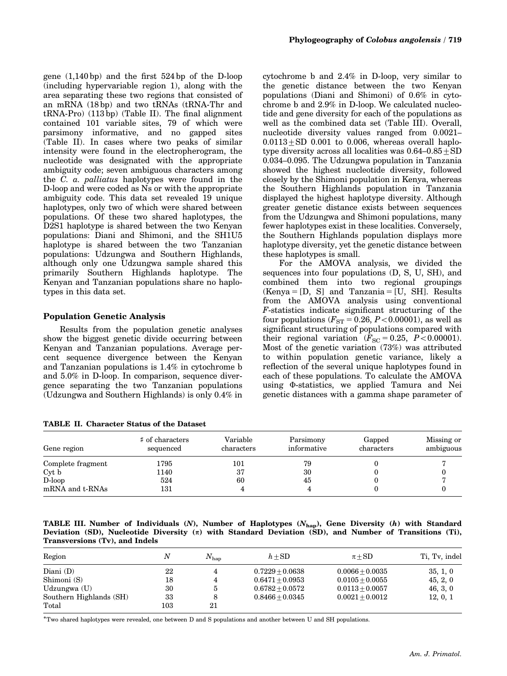gene (1,140 bp) and the first 524 bp of the D-loop (including hypervariable region 1), along with the area separating these two regions that consisted of an mRNA (18 bp) and two tRNAs (tRNA-Thr and tRNA-Pro) (113 bp) (Table II). The final alignment contained 101 variable sites, 79 of which were parsimony informative, and no gapped sites (Table II). In cases where two peaks of similar intensity were found in the electropherogram, the nucleotide was designated with the appropriate ambiguity code; seven ambiguous characters among the C. a. palliatus haplotypes were found in the D-loop and were coded as Ns or with the appropriate ambiguity code. This data set revealed 19 unique haplotypes, only two of which were shared between populations. Of these two shared haplotypes, the D2S1 haplotype is shared between the two Kenyan populations: Diani and Shimoni, and the SH1U5 haplotype is shared between the two Tanzanian populations: Udzungwa and Southern Highlands, although only one Udzungwa sample shared this primarily Southern Highlands haplotype. The Kenyan and Tanzanian populations share no haplotypes in this data set.

#### Population Genetic Analysis

Results from the population genetic analyses show the biggest genetic divide occurring between Kenyan and Tanzanian populations. Average percent sequence divergence between the Kenyan and Tanzanian populations is 1.4% in cytochrome b and 5.0% in D-loop. In comparison, sequence divergence separating the two Tanzanian populations (Udzungwa and Southern Highlands) is only 0.4% in

TABLE II. Character Status of the Dataset

cytochrome b and 2.4% in D-loop, very similar to the genetic distance between the two Kenyan populations (Diani and Shimoni) of 0.6% in cytochrome b and 2.9% in D-loop. We calculated nucleotide and gene diversity for each of the populations as well as the combined data set (Table III). Overall, nucleotide diversity values ranged from 0.0021–  $0.0113 + SD$  0.001 to 0.006, whereas overall haplotype diversity across all localities was  $0.64-0.85\pm SD$ 0.034–0.095. The Udzungwa population in Tanzania showed the highest nucleotide diversity, followed closely by the Shimoni population in Kenya, whereas the Southern Highlands population in Tanzania displayed the highest haplotype diversity. Although greater genetic distance exists between sequences from the Udzungwa and Shimoni populations, many fewer haplotypes exist in these localities. Conversely, the Southern Highlands population displays more haplotype diversity, yet the genetic distance between these haplotypes is small.

For the AMOVA analysis, we divided the sequences into four populations (D, S, U, SH), and combined them into two regional groupings  $(Kenya = [D, S]$  and Tanzania  $=[U, SH]$ . Results from the AMOVA analysis using conventional F-statistics indicate significant structuring of the four populations  $(F_{ST} = 0.26, P < 0.00001)$ , as well as significant structuring of populations compared with their regional variation  $(F_{SC} = 0.25, P < 0.00001)$ . Most of the genetic variation (73%) was attributed to within population genetic variance, likely a reflection of the several unique haplotypes found in each of these populations. To calculate the AMOVA using  $\Phi$ -statistics, we applied Tamura and Nei genetic distances with a gamma shape parameter of

| Gene region       | # of characters<br>sequenced | Variable<br>characters | Parsimony<br>informative | Gapped<br>characters | Missing or<br>ambiguous |
|-------------------|------------------------------|------------------------|--------------------------|----------------------|-------------------------|
| Complete fragment | 1795                         | 101                    | 79                       |                      |                         |
| Cyt b             | 1140                         | 37                     | 30                       |                      |                         |
| $D-loop$          | 524                          | 60                     | 45                       |                      |                         |
| mRNA and t-RNAs   | 131                          |                        |                          |                      |                         |

TABLE III. Number of Individuals  $(N)$ , Number of Haplotypes  $(N_{\text{hap}})$ , Gene Diversity  $(h)$  with Standard Deviation (SD), Nucleotide Diversity  $(\pi)$  with Standard Deviation (SD), and Number of Transitions (Ti), Transversions (Tv), and Indels

| Region                  | N       | $N_{\rm han}$ | $h + SD$          | $\pi + SD$        | Ti, Tv, indel |
|-------------------------|---------|---------------|-------------------|-------------------|---------------|
| Diani $(D)$             | 22      | 4             | $0.7229 + 0.0638$ | $0.0066 + 0.0035$ | 35, 1, 0      |
| Shimoni (S)             | 18      | 4             | $0.6471 + 0.0953$ | $0.0105 + 0.0055$ | 45, 2, 0      |
| Udzungwa (U)            | 30      | b             | $0.6782 + 0.0572$ | $0.0113 + 0.0057$ | 46, 3, 0      |
| Southern Highlands (SH) | 33      | 8             | $0.8466 + 0.0345$ | $0.0021 + 0.0012$ | 12, 0, 1      |
| Total                   | $103\,$ | 21            |                   |                   |               |

-Two shared haplotypes were revealed, one between D and S populations and another between U and SH populations.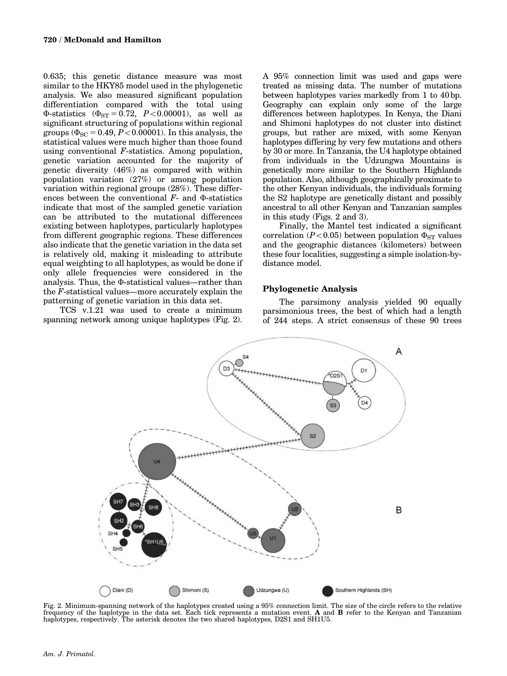0.635; this genetic distance measure was most similar to the HKY85 model used in the phylogenetic analysis. We also measured significant population differentiation compared with the total using  $\Phi$ -statistics ( $\Phi_{ST} = 0.72$ ,  $P < 0.00001$ ), as well as significant structuring of populations within regional groups ( $\Phi_{SC}$  = 0.49, *P* < 0.00001). In this analysis, the statistical values were much higher than those found using conventional  $F$ -statistics. Among population, genetic variation accounted for the majority of genetic diversity (46%) as compared with within population variation (27%) or among population variation within regional groups (28%). These differences between the conventional  $F$ - and  $\Phi$ -statistics indicate that most of the sampled genetic variation can be attributed to the mutational differences existing between haplotypes, particularly haplotypes from different geographic regions. These differences also indicate that the genetic variation in the data set is relatively old, making it misleading to attribute equal weighting to all haplotypes, as would be done if only allele frequencies were considered in the analysis. Thus, the  $\Phi$ -statistical values—rather than the F-statistical values—more accurately explain the patterning of genetic variation in this data set.

TCS v.1.21 was used to create a minimum spanning network among unique haplotypes (Fig. 2). A 95% connection limit was used and gaps were treated as missing data. The number of mutations between haplotypes varies markedly from 1 to 40 bp. Geography can explain only some of the large differences between haplotypes. In Kenya, the Diani and Shimoni haplotypes do not cluster into distinct groups, but rather are mixed, with some Kenyan haplotypes differing by very few mutations and others by 30 or more. In Tanzania, the U4 haplotype obtained from individuals in the Udzungwa Mountains is genetically more similar to the Southern Highlands population. Also, although geographically proximate to the other Kenyan individuals, the individuals forming the S2 haplotype are genetically distant and possibly ancestral to all other Kenyan and Tanzanian samples in this study (Figs. 2 and 3).

Finally, the Mantel test indicated a significant correlation ( $P<0.05$ ) between population  $\Phi_{ST}$  values and the geographic distances (kilometers) between these four localities, suggesting a simple isolation-bydistance model.

## Phylogenetic Analysis

The parsimony analysis yielded 90 equally parsimonious trees, the best of which had a length of 244 steps. A strict consensus of these 90 trees



Fig. 2. Minimum-spanning network of the haplotypes created using a 95% connection limit. The size of the circle refers to the relative frequency of the haplotype in the data set. Each tick represents a mutation event. A and B refer to the Kenyan and Tanzanian haplotypes, respectively. The asterisk denotes the two shared haplotypes, D2S1 and SH1U5.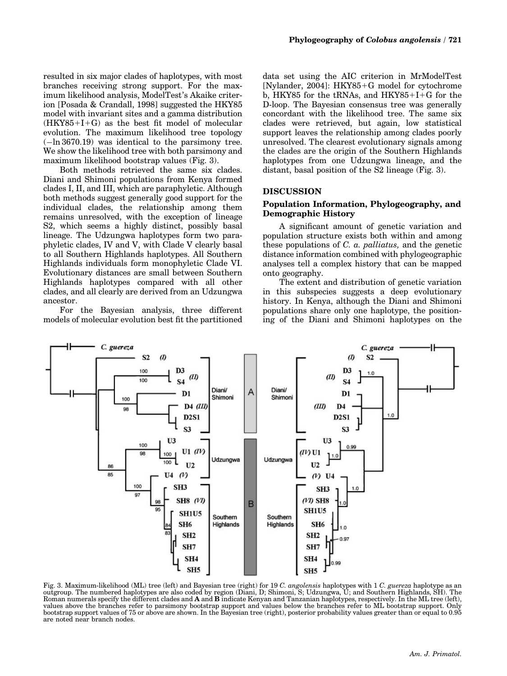resulted in six major clades of haplotypes, with most branches receiving strong support. For the maximum likelihood analysis, ModelTest's Akaike criterion [Posada & Crandall, 1998] suggested the HKY85 model with invariant sites and a gamma distribution  $(HKY85+I+G)$  as the best fit model of molecular evolution. The maximum likelihood tree topology (-ln 3670.19) was identical to the parsimony tree. We show the likelihood tree with both parsimony and maximum likelihood bootstrap values (Fig. 3).

Both methods retrieved the same six clades. Diani and Shimoni populations from Kenya formed clades I, II, and III, which are paraphyletic. Although both methods suggest generally good support for the individual clades, the relationship among them remains unresolved, with the exception of lineage S2, which seems a highly distinct, possibly basal lineage. The Udzungwa haplotypes form two paraphyletic clades, IV and V, with Clade V clearly basal to all Southern Highlands haplotypes. All Southern Highlands individuals form monophyletic Clade VI. Evolutionary distances are small between Southern Highlands haplotypes compared with all other clades, and all clearly are derived from an Udzungwa ancestor.

For the Bayesian analysis, three different models of molecular evolution best fit the partitioned

data set using the AIC criterion in MrModelTest [Nylander, 2004]:  $HKY85+G$  model for cytochrome b, HKY85 for the  $tRNAs$ , and HKY85+I+G for the D-loop. The Bayesian consensus tree was generally concordant with the likelihood tree. The same six clades were retrieved, but again, low statistical support leaves the relationship among clades poorly unresolved. The clearest evolutionary signals among the clades are the origin of the Southern Highlands haplotypes from one Udzungwa lineage, and the distant, basal position of the S2 lineage (Fig. 3).

#### DISCUSSION

#### Population Information, Phylogeography, and Demographic History

A significant amount of genetic variation and population structure exists both within and among these populations of C. a. palliatus, and the genetic distance information combined with phylogeographic analyses tell a complex history that can be mapped onto geography.

The extent and distribution of genetic variation in this subspecies suggests a deep evolutionary history. In Kenya, although the Diani and Shimoni populations share only one haplotype, the positioning of the Diani and Shimoni haplotypes on the



Fig. 3. Maximum-likelihood (ML) tree (left) and Bayesian tree (right) for 19 C. angolensis haplotypes with 1 C. guereza haplotype as an outgroup. The numbered haplotypes are also coded by region (Diani, D; Shimoni, S; Udzungwa, U; and Southern Highlands, SH). The Roman numerals specify the different clades and A and B indicate Kenyan and Tanzanian haplotypes, respectively. In the ML tree (left), values above the branches refer to parsimony bootstrap support and values below the branches refer to ML bootstrap support. Only bootstrap support values of 75 or above are shown. In the Bayesian tree (right), posterior probability values greater than or equal to 0.95 are noted near branch nodes.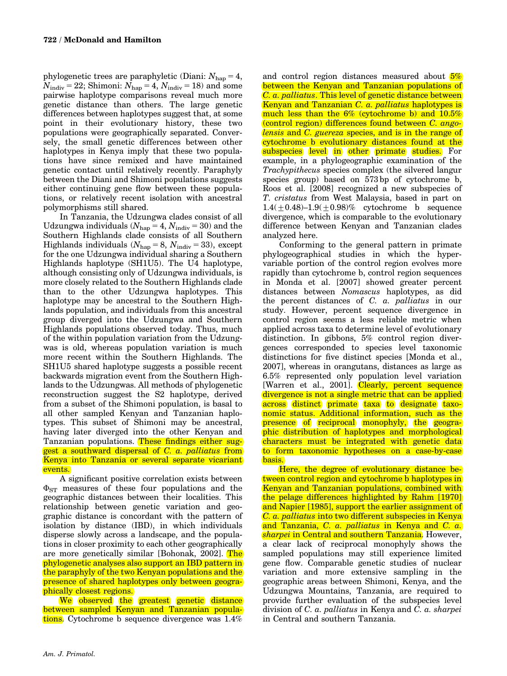phylogenetic trees are paraphyletic (Diani:  $N_{\text{hap}} = 4$ ,  $N_{\text{indiv}} = 22$ ; Shimoni:  $N_{\text{hap}} = 4$ ,  $N_{\text{indiv}} = 18$ ) and some pairwise haplotype comparisons reveal much more genetic distance than others. The large genetic differences between haplotypes suggest that, at some point in their evolutionary history, these two populations were geographically separated. Conversely, the small genetic differences between other haplotypes in Kenya imply that these two populations have since remixed and have maintained genetic contact until relatively recently. Paraphyly between the Diani and Shimoni populations suggests either continuing gene flow between these populations, or relatively recent isolation with ancestral polymorphisms still shared.

In Tanzania, the Udzungwa clades consist of all Udzungwa individuals ( $N_{\text{hap}} = 4$ ,  $N_{\text{indiv}} = 30$ ) and the Southern Highlands clade consists of all Southern Highlands individuals  $(N_{\text{hap}} = 8, N_{\text{indiv}} = 33)$ , except for the one Udzungwa individual sharing a Southern Highlands haplotype (SH1U5). The U4 haplotype, although consisting only of Udzungwa individuals, is more closely related to the Southern Highlands clade than to the other Udzungwa haplotypes. This haplotype may be ancestral to the Southern Highlands population, and individuals from this ancestral group diverged into the Udzungwa and Southern Highlands populations observed today. Thus, much of the within population variation from the Udzungwas is old, whereas population variation is much more recent within the Southern Highlands. The SH1U5 shared haplotype suggests a possible recent backwards migration event from the Southern Highlands to the Udzungwas. All methods of phylogenetic reconstruction suggest the S2 haplotype, derived from a subset of the Shimoni population, is basal to all other sampled Kenyan and Tanzanian haplotypes. This subset of Shimoni may be ancestral, having later diverged into the other Kenyan and Tanzanian populations. These findings either suggest a southward dispersal of C. a. palliatus from Kenya into Tanzania or several separate vicariant events.

A significant positive correlation exists between  $\Phi_{ST}$  measures of these four populations and the geographic distances between their localities. This relationship between genetic variation and geographic distance is concordant with the pattern of isolation by distance (IBD), in which individuals disperse slowly across a landscape, and the populations in closer proximity to each other geographically are more genetically similar [Bohonak, 2002]. The phylogenetic analyses also support an IBD pattern in the paraphyly of the two Kenyan populations and the presence of shared haplotypes only between geographically closest regions.

We observed the greatest genetic distance between sampled Kenyan and Tanzanian populations. Cytochrome b sequence divergence was 1.4%

and control region distances measured about 5% between the Kenyan and Tanzanian populations of C. a. palliatus. This level of genetic distance between Kenyan and Tanzanian C. a. *palliatus* haplotypes is much less than the 6% (cytochrome b) and 10.5% (control region) differences found between C. angolensis and C. guereza species, and is in the range of cytochrome b evolutionary distances found at the subspecies level in other primate studies. For example, in a phylogeographic examination of the Trachypithecus species complex (the silvered langur species group) based on 573 bp of cytochrome b, Roos et al. [2008] recognized a new subspecies of T. cristatus from West Malaysia, based in part on  $1.4(+0.48)$ – $1.9(+0.98)$ % cytochrome b sequence divergence, which is comparable to the evolutionary difference between Kenyan and Tanzanian clades analyzed here.

Conforming to the general pattern in primate phylogeographical studies in which the hypervariable portion of the control region evolves more rapidly than cytochrome b, control region sequences in Monda et al. [2007] showed greater percent distances between Nomascus haplotypes, as did the percent distances of C. a. palliatus in our study. However, percent sequence divergence in control region seems a less reliable metric when applied across taxa to determine level of evolutionary distinction. In gibbons, 5% control region divergences corresponded to species level taxonomic distinctions for five distinct species [Monda et al., 2007], whereas in orangutans, distances as large as 6.5% represented only population level variation [Warren et al., 2001]. Clearly, percent sequence divergence is not a single metric that can be applied across distinct primate taxa to designate taxonomic status. Additional information, such as the presence of reciprocal monophyly, the geographic distribution of haplotypes and morphological characters must be integrated with genetic data to form taxonomic hypotheses on a case-by-case basis.

Here, the degree of evolutionary distance between control region and cytochrome b haplotypes in Kenyan and Tanzanian populations, combined with the pelage differences highlighted by Rahm [1970] and Napier [1985], support the earlier assignment of C. a. palliatus into two different subspecies in Kenya and Tanzania, C. a. palliatus in Kenya and C. a. sharpei in Central and southern Tanzania. However, a clear lack of reciprocal monophyly shows the sampled populations may still experience limited gene flow. Comparable genetic studies of nuclear variation and more extensive sampling in the geographic areas between Shimoni, Kenya, and the Udzungwa Mountains, Tanzania, are required to provide further evaluation of the subspecies level division of C. a. palliatus in Kenya and C. a. sharpei in Central and southern Tanzania.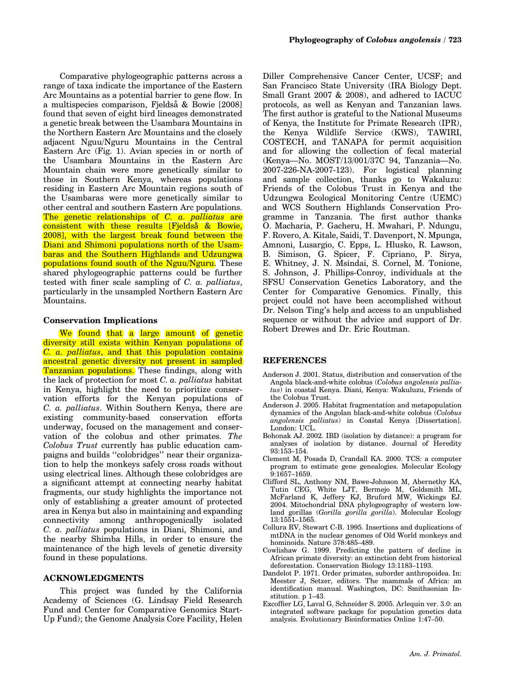Comparative phylogeographic patterns across a range of taxa indicate the importance of the Eastern Arc Mountains as a potential barrier to gene flow. In a multispecies comparison, Fjeldså & Bowie [2008] found that seven of eight bird lineages demonstrated a genetic break between the Usambara Mountains in the Northern Eastern Arc Mountains and the closely adjacent Nguu/Nguru Mountains in the Central Eastern Arc (Fig. 1). Avian species in or north of the Usambara Mountains in the Eastern Arc Mountain chain were more genetically similar to those in Southern Kenya, whereas populations residing in Eastern Arc Mountain regions south of the Usambaras were more genetically similar to other central and southern Eastern Arc populations. The genetic relationships of C. a. palliatus are consistent with these results [Fjeldså & Bowie, 2008], with the largest break found between the Diani and Shimoni populations north of the Usambaras and the Southern Highlands and Udzungwa populations found south of the Nguu/Nguru. These shared phylogeographic patterns could be further tested with finer scale sampling of C. a. palliatus, particularly in the unsampled Northern Eastern Arc Mountains.

#### Conservation Implications

We found that a large amount of genetic diversity still exists within Kenyan populations of C. a. palliatus, and that this population contains ancestral genetic diversity not present in sampled Tanzanian populations. These findings, along with the lack of protection for most  $C$ .  $a$ . palliatus habitat in Kenya, highlight the need to prioritize conservation efforts for the Kenyan populations of C. a. palliatus. Within Southern Kenya, there are existing community-based conservation efforts underway, focused on the management and conservation of the colobus and other primates. The Colobus Trust currently has public education campaigns and builds ''colobridges'' near their organization to help the monkeys safely cross roads without using electrical lines. Although these colobridges are a significant attempt at connecting nearby habitat fragments, our study highlights the importance not only of establishing a greater amount of protected area in Kenya but also in maintaining and expanding connectivity among anthropogenically isolated C. a. palliatus populations in Diani, Shimoni, and the nearby Shimba Hills, in order to ensure the maintenance of the high levels of genetic diversity found in these populations.

#### ACKNOWLEDGMENTS

This project was funded by the California Academy of Sciences (G. Lindsay Field Research Fund and Center for Comparative Genomics Start-Up Fund); the Genome Analysis Core Facility, Helen

Diller Comprehensive Cancer Center, UCSF; and San Francisco State University (IRA Biology Dept. Small Grant 2007 & 2008), and adhered to IACUC protocols, as well as Kenyan and Tanzanian laws. The first author is grateful to the National Museums of Kenya, the Institute for Primate Research (IPR), the Kenya Wildlife Service (KWS), TAWIRI, COSTECH, and TANAPA for permit acquisition and for allowing the collection of fecal material (Kenya—No. MOST/13/001/37C 94, Tanzania—No. 2007-226-NA-2007-123). For logistical planning and sample collection, thanks go to Wakaluzu: Friends of the Colobus Trust in Kenya and the Udzungwa Ecological Monitoring Centre (UEMC) and WCS Southern Highlands Conservation Programme in Tanzania. The first author thanks O. Macharia, P. Gacheru, H. Mwahari, P. Ndungu, F. Rovero, A. Kitale, Saidi, T. Davenport, N. Mpunga, Amnoni, Lusargio, C. Epps, L. Hlusko, R. Lawson, B. Simison, G. Spicer, F. Cipriano, P. Sirya, E. Whitney, J. N. Msindai, S. Cornel, M. Tonione, S. Johnson, J. Phillips-Conroy, individuals at the SFSU Conservation Genetics Laboratory, and the Center for Comparative Genomics. Finally, this project could not have been accomplished without Dr. Nelson Ting's help and access to an unpublished sequence or without the advice and support of Dr. Robert Drewes and Dr. Eric Routman.

#### REFERENCES

- Anderson J. 2001. Status, distribution and conservation of the Angola black-and-white colobus (Colobus angolensis palliatus) in coastal Kenya. Diani, Kenya: Wakuluzu, Friends of the Colobus Trust.
- Anderson J. 2005. Habitat fragmentation and metapopulation dynamics of the Angolan black-and-white colobus (Colobus angolensis palliatus) in Coastal Kenya [Dissertation]. London: UCL.
- Bohonak AJ. 2002. IBD (isolation by distance): a program for analyses of isolation by distance. Journal of Heredity 93:153–154.
- Clement M, Posada D, Crandall KA. 2000. TCS: a computer program to estimate gene genealogies. Molecular Ecology 9:1657–1659.
- Clifford SL, Anthony NM, Bawe-Johnson M, Abernethy KA, Tutin CEG, White LJT, Bermejo M, Goldsmith ML, McFarland K, Jeffery KJ, Bruford MW, Wickings EJ. 2004. Mitochondrial DNA phylogeography of western lowland gorillas (Gorilla gorilla gorilla). Molecular Ecology 13:1551–1565.
- Collura RV, Stewart C-B. 1995. Insertions and duplications of mtDNA in the nuclear genomes of Old World monkeys and hominoids. Nature 378:485–489.
- Cowlishaw G. 1999. Predicting the pattern of decline in African primate diversity: an extinction debt from historical deforestation. Conservation Biology 13:1183–1193.
- Dandelot P. 1971. Order primates, suborder anthropoidea. In: Meester J, Setzer, editors. The mammals of Africa: an identification manual. Washington, DC: Smithsonian Institution. p 1–43.
- Excoffier LG, Laval G, Schneider S. 2005. Arlequin ver. 3.0: an integrated software package for population genetics data analysis. Evolutionary Bioinformatics Online 1:47–50.